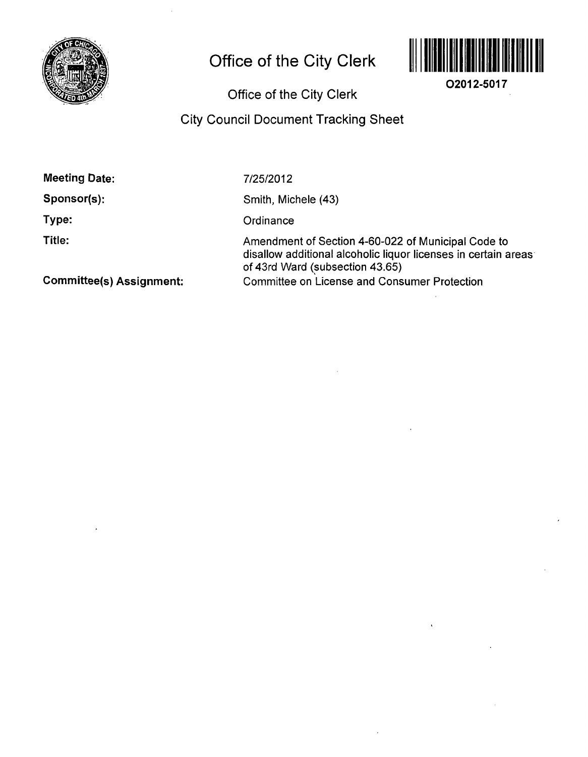

# Office of the City Clerk



**02012-5017** 

# Office of the City Clerk

# City Council Document Tracking Sheet

| 7/25/2012                                                                                                                                               |
|---------------------------------------------------------------------------------------------------------------------------------------------------------|
| Smith, Michele (43)                                                                                                                                     |
| Ordinance                                                                                                                                               |
| Amendment of Section 4-60-022 of Municipal Code to<br>disallow additional alcoholic liquor licenses in certain areas<br>of 43rd Ward (subsection 43.65) |
| <b>Committee on License and Consumer Protection</b>                                                                                                     |
|                                                                                                                                                         |